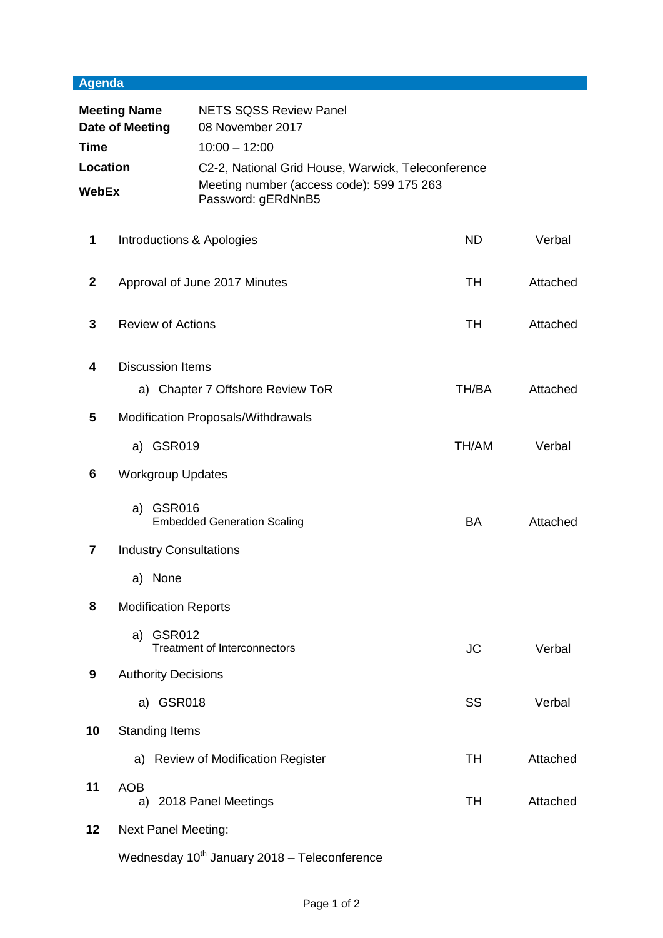## **Agenda**

| <b>Meeting Name</b><br>Date of Meeting<br><b>Time</b><br>Location<br><b>WebEx</b> |                                    | <b>NETS SQSS Review Panel</b><br>08 November 2017                     |           |                           |           |
|-----------------------------------------------------------------------------------|------------------------------------|-----------------------------------------------------------------------|-----------|---------------------------|-----------|
|                                                                                   |                                    | $10:00 - 12:00$<br>C2-2, National Grid House, Warwick, Teleconference |           |                           |           |
|                                                                                   |                                    |                                                                       |           |                           |           |
|                                                                                   |                                    | 1                                                                     |           | Introductions & Apologies | <b>ND</b> |
| $\mathbf{2}$                                                                      |                                    | Approval of June 2017 Minutes                                         | TH        | Attached                  |           |
| 3                                                                                 | <b>Review of Actions</b>           |                                                                       | TH        | Attached                  |           |
| 4                                                                                 | <b>Discussion Items</b>            |                                                                       |           |                           |           |
|                                                                                   |                                    | a) Chapter 7 Offshore Review ToR                                      | TH/BA     | Attached                  |           |
| 5                                                                                 | Modification Proposals/Withdrawals |                                                                       |           |                           |           |
|                                                                                   | a) GSR019                          |                                                                       | TH/AM     | Verbal                    |           |
| 6                                                                                 | <b>Workgroup Updates</b>           |                                                                       |           |                           |           |
|                                                                                   | a) GSR016                          | <b>Embedded Generation Scaling</b>                                    | <b>BA</b> | Attached                  |           |
| 7                                                                                 | <b>Industry Consultations</b>      |                                                                       |           |                           |           |
|                                                                                   | a) None                            |                                                                       |           |                           |           |
| 8                                                                                 | <b>Modification Reports</b>        |                                                                       |           |                           |           |
|                                                                                   | a) GSR012                          | <b>Treatment of Interconnectors</b>                                   | <b>JC</b> | Verbal                    |           |
| 9                                                                                 | <b>Authority Decisions</b>         |                                                                       |           |                           |           |
|                                                                                   | a) GSR018                          |                                                                       | SS        | Verbal                    |           |
| 10                                                                                | <b>Standing Items</b>              |                                                                       |           |                           |           |
|                                                                                   | a)                                 | <b>Review of Modification Register</b>                                | TH        | Attached                  |           |
| 11                                                                                | <b>AOB</b>                         | a) 2018 Panel Meetings                                                | TH        | Attached                  |           |
| 12                                                                                | <b>Next Panel Meeting:</b>         |                                                                       |           |                           |           |
|                                                                                   |                                    | Wednesday 10 <sup>th</sup> January 2018 - Teleconference              |           |                           |           |